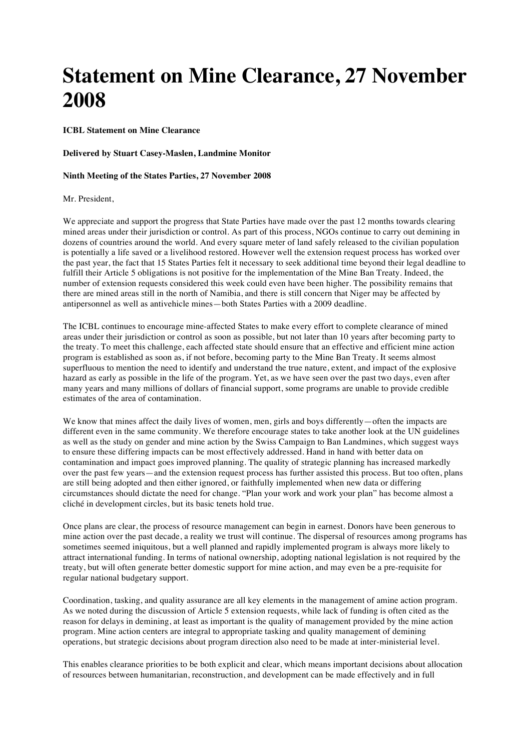## **Statement on Mine Clearance, 27 November 2008**

**ICBL Statement on Mine Clearance**

**Delivered by Stuart Casey-Maslen, Landmine Monitor**

**Ninth Meeting of the States Parties, 27 November 2008**

## Mr. President,

We appreciate and support the progress that State Parties have made over the past 12 months towards clearing mined areas under their jurisdiction or control. As part of this process, NGOs continue to carry out demining in dozens of countries around the world. And every square meter of land safely released to the civilian population is potentially a life saved or a livelihood restored. However well the extension request process has worked over the past year, the fact that 15 States Parties felt it necessary to seek additional time beyond their legal deadline to fulfill their Article 5 obligations is not positive for the implementation of the Mine Ban Treaty. Indeed, the number of extension requests considered this week could even have been higher. The possibility remains that there are mined areas still in the north of Namibia, and there is still concern that Niger may be affected by antipersonnel as well as antivehicle mines—both States Parties with a 2009 deadline.

The ICBL continues to encourage mine-affected States to make every effort to complete clearance of mined areas under their jurisdiction or control as soon as possible, but not later than 10 years after becoming party to the treaty. To meet this challenge, each affected state should ensure that an effective and efficient mine action program is established as soon as, if not before, becoming party to the Mine Ban Treaty. It seems almost superfluous to mention the need to identify and understand the true nature, extent, and impact of the explosive hazard as early as possible in the life of the program. Yet, as we have seen over the past two days, even after many years and many millions of dollars of financial support, some programs are unable to provide credible estimates of the area of contamination.

We know that mines affect the daily lives of women, men, girls and boys differently—often the impacts are different even in the same community. We therefore encourage states to take another look at the UN guidelines as well as the study on gender and mine action by the Swiss Campaign to Ban Landmines, which suggest ways to ensure these differing impacts can be most effectively addressed. Hand in hand with better data on contamination and impact goes improved planning. The quality of strategic planning has increased markedly over the past few years—and the extension request process has further assisted this process. But too often, plans are still being adopted and then either ignored, or faithfully implemented when new data or differing circumstances should dictate the need for change. "Plan your work and work your plan" has become almost a cliché in development circles, but its basic tenets hold true.

Once plans are clear, the process of resource management can begin in earnest. Donors have been generous to mine action over the past decade, a reality we trust will continue. The dispersal of resources among programs has sometimes seemed iniquitous, but a well planned and rapidly implemented program is always more likely to attract international funding. In terms of national ownership, adopting national legislation is not required by the treaty, but will often generate better domestic support for mine action, and may even be a pre-requisite for regular national budgetary support.

Coordination, tasking, and quality assurance are all key elements in the management of amine action program. As we noted during the discussion of Article 5 extension requests, while lack of funding is often cited as the reason for delays in demining, at least as important is the quality of management provided by the mine action program. Mine action centers are integral to appropriate tasking and quality management of demining operations, but strategic decisions about program direction also need to be made at inter-ministerial level.

This enables clearance priorities to be both explicit and clear, which means important decisions about allocation of resources between humanitarian, reconstruction, and development can be made effectively and in full